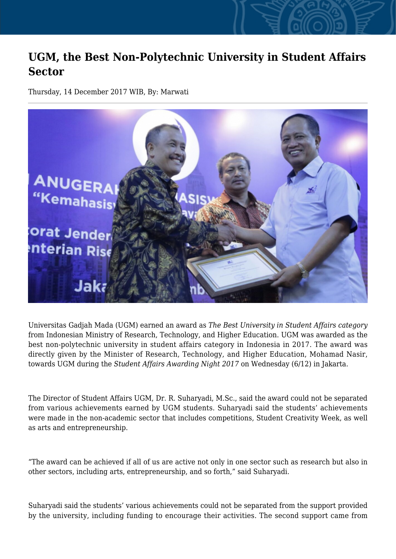## **UGM, the Best Non-Polytechnic University in Student Affairs Sector**

Thursday, 14 December 2017 WIB, By: Marwati



Universitas Gadjah Mada (UGM) earned an award as *The Best University in Student Affairs category* from Indonesian Ministry of Research, Technology, and Higher Education. UGM was awarded as the best non-polytechnic university in student affairs category in Indonesia in 2017. The award was directly given by the Minister of Research, Technology, and Higher Education, Mohamad Nasir, towards UGM during the *Student Affairs Awarding Night 2017* on Wednesday (6/12) in Jakarta.

The Director of Student Affairs UGM, Dr. R. Suharyadi, M.Sc., said the award could not be separated from various achievements earned by UGM students. Suharyadi said the students' achievements were made in the non-academic sector that includes competitions, Student Creativity Week, as well as arts and entrepreneurship.

"The award can be achieved if all of us are active not only in one sector such as research but also in other sectors, including arts, entrepreneurship, and so forth," said Suharyadi.

Suharyadi said the students' various achievements could not be separated from the support provided by the university, including funding to encourage their activities. The second support came from